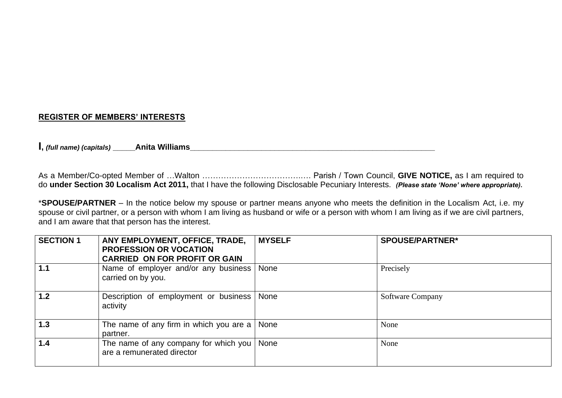### **REGISTER OF MEMBERS' INTERESTS**

**I**, *(full name) (capitals)* **Anita Williams** 

As a Member/Co-opted Member of …Walton ……………………………….…. Parish / Town Council, **GIVE NOTICE,** as I am required to do **under Section 30 Localism Act 2011,** that I have the following Disclosable Pecuniary Interests. *(Please state 'None' where appropriate).*

\***SPOUSE/PARTNER** – In the notice below my spouse or partner means anyone who meets the definition in the Localism Act, i.e. my spouse or civil partner, or a person with whom I am living as husband or wife or a person with whom I am living as if we are civil partners, and I am aware that that person has the interest.

| <b>SECTION 1</b> | ANY EMPLOYMENT, OFFICE, TRADE,<br><b>PROFESSION OR VOCATION</b><br><b>CARRIED ON FOR PROFIT OR GAIN</b> | <b>MYSELF</b> | <b>SPOUSE/PARTNER*</b>  |
|------------------|---------------------------------------------------------------------------------------------------------|---------------|-------------------------|
| 1.1              | Name of employer and/or any business   None<br>carried on by you.                                       |               | Precisely               |
| 1.2              | Description of employment or business<br>activity                                                       | None          | <b>Software Company</b> |
| 1.3              | The name of any firm in which you are a $\vert$<br>partner.                                             | None          | None                    |
| 1.4              | The name of any company for which you  <br>are a remunerated director                                   | None          | None                    |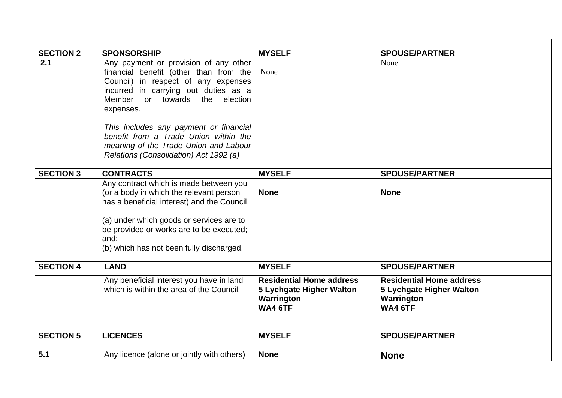| <b>SECTION 2</b> | <b>SPONSORSHIP</b>                                                                                                                                                                                                                                                                                                                                                                           | <b>MYSELF</b>                                                                                      | <b>SPOUSE/PARTNER</b>                                                                       |
|------------------|----------------------------------------------------------------------------------------------------------------------------------------------------------------------------------------------------------------------------------------------------------------------------------------------------------------------------------------------------------------------------------------------|----------------------------------------------------------------------------------------------------|---------------------------------------------------------------------------------------------|
| 2.1              | Any payment or provision of any other<br>financial benefit (other than from the<br>Council) in respect of any expenses<br>incurred in carrying out duties as a<br>Member<br>towards the<br>election<br>or<br>expenses.<br>This includes any payment or financial<br>benefit from a Trade Union within the<br>meaning of the Trade Union and Labour<br>Relations (Consolidation) Act 1992 (a) | None                                                                                               | None                                                                                        |
| <b>SECTION 3</b> | <b>CONTRACTS</b>                                                                                                                                                                                                                                                                                                                                                                             | <b>MYSELF</b>                                                                                      | <b>SPOUSE/PARTNER</b>                                                                       |
|                  | Any contract which is made between you<br>(or a body in which the relevant person<br>has a beneficial interest) and the Council.<br>(a) under which goods or services are to<br>be provided or works are to be executed;<br>and:<br>(b) which has not been fully discharged.                                                                                                                 | <b>None</b>                                                                                        | <b>None</b>                                                                                 |
| <b>SECTION 4</b> | <b>LAND</b>                                                                                                                                                                                                                                                                                                                                                                                  | <b>MYSELF</b>                                                                                      | <b>SPOUSE/PARTNER</b>                                                                       |
|                  | Any beneficial interest you have in land<br>which is within the area of the Council.                                                                                                                                                                                                                                                                                                         | <b>Residential Home address</b><br><b>5 Lychgate Higher Walton</b><br>Warrington<br><b>WA4 6TF</b> | <b>Residential Home address</b><br>5 Lychgate Higher Walton<br>Warrington<br><b>WA4 6TF</b> |
| <b>SECTION 5</b> | <b>LICENCES</b>                                                                                                                                                                                                                                                                                                                                                                              | <b>MYSELF</b>                                                                                      | <b>SPOUSE/PARTNER</b>                                                                       |
| 5.1              | Any licence (alone or jointly with others)                                                                                                                                                                                                                                                                                                                                                   | <b>None</b>                                                                                        | <b>None</b>                                                                                 |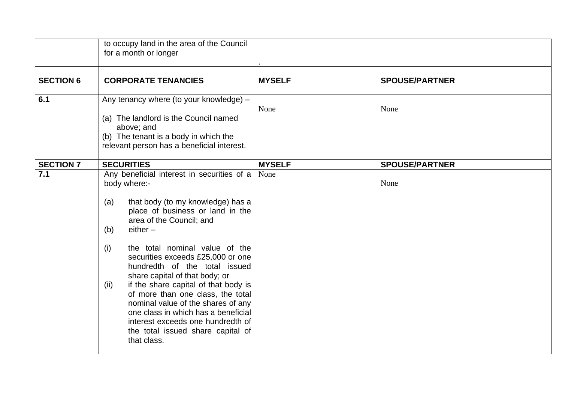|                  | to occupy land in the area of the Council<br>for a month or longer                                                                                                                                                                                                                                                                                                                                                                                                                                                                                                                                      |               |                       |
|------------------|---------------------------------------------------------------------------------------------------------------------------------------------------------------------------------------------------------------------------------------------------------------------------------------------------------------------------------------------------------------------------------------------------------------------------------------------------------------------------------------------------------------------------------------------------------------------------------------------------------|---------------|-----------------------|
| <b>SECTION 6</b> | <b>CORPORATE TENANCIES</b>                                                                                                                                                                                                                                                                                                                                                                                                                                                                                                                                                                              | <b>MYSELF</b> | <b>SPOUSE/PARTNER</b> |
| 6.1              | Any tenancy where (to your knowledge) -<br>(a) The landlord is the Council named<br>above; and<br>(b) The tenant is a body in which the<br>relevant person has a beneficial interest.                                                                                                                                                                                                                                                                                                                                                                                                                   | None          | None                  |
| <b>SECTION 7</b> | <b>SECURITIES</b>                                                                                                                                                                                                                                                                                                                                                                                                                                                                                                                                                                                       | <b>MYSELF</b> | <b>SPOUSE/PARTNER</b> |
| 7.1              | Any beneficial interest in securities of a<br>body where:-<br>that body (to my knowledge) has a<br>(a)<br>place of business or land in the<br>area of the Council; and<br>$either -$<br>(b)<br>the total nominal value of the<br>(i)<br>securities exceeds £25,000 or one<br>hundredth of the total issued<br>share capital of that body; or<br>if the share capital of that body is<br>(ii)<br>of more than one class, the total<br>nominal value of the shares of any<br>one class in which has a beneficial<br>interest exceeds one hundredth of<br>the total issued share capital of<br>that class. | None          | None                  |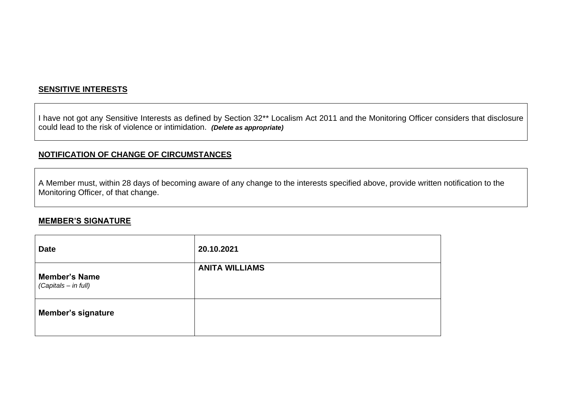#### **SENSITIVE INTERESTS**

I have not got any Sensitive Interests as defined by Section 32\*\* Localism Act 2011 and the Monitoring Officer considers that disclosure could lead to the risk of violence or intimidation. *(Delete as appropriate)*

### **NOTIFICATION OF CHANGE OF CIRCUMSTANCES**

A Member must, within 28 days of becoming aware of any change to the interests specified above, provide written notification to the Monitoring Officer, of that change.

#### **MEMBER'S SIGNATURE**

| <b>Date</b>                                  | 20.10.2021            |
|----------------------------------------------|-----------------------|
| <b>Member's Name</b><br>(Capitals - in full) | <b>ANITA WILLIAMS</b> |
| <b>Member's signature</b>                    |                       |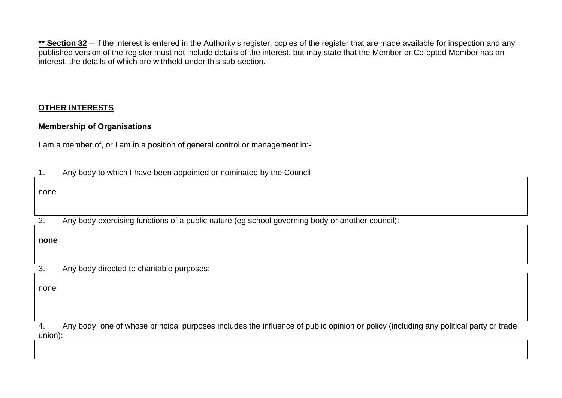\*\* Section 32 – If the interest is entered in the Authority's register, copies of the register that are made available for inspection and any published version of the register must not include details of the interest, but may state that the Member or Co-opted Member has an interest, the details of which are withheld under this sub-section.

### **OTHER INTERESTS**

### **Membership of Organisations**

I am a member of, or I am in a position of general control or management in:-

|  |  |  | Any body to which I have been appointed or nominated by the Council |
|--|--|--|---------------------------------------------------------------------|
|--|--|--|---------------------------------------------------------------------|

none

2. Any body exercising functions of a public nature (eg school governing body or another council):

**none**

3. Any body directed to charitable purposes:

none

4. Any body, one of whose principal purposes includes the influence of public opinion or policy (including any political party or trade union):